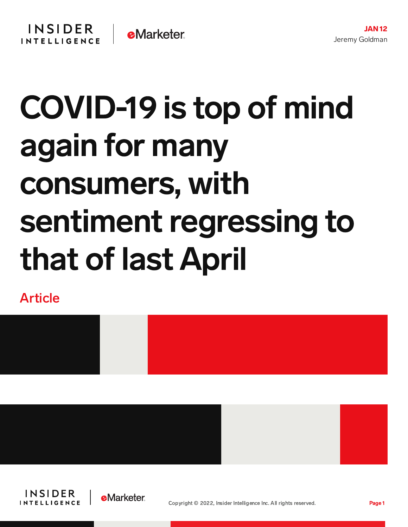## COVID-19 is top of mind again for many consumers, with sentiment regressing to that of last April

Article